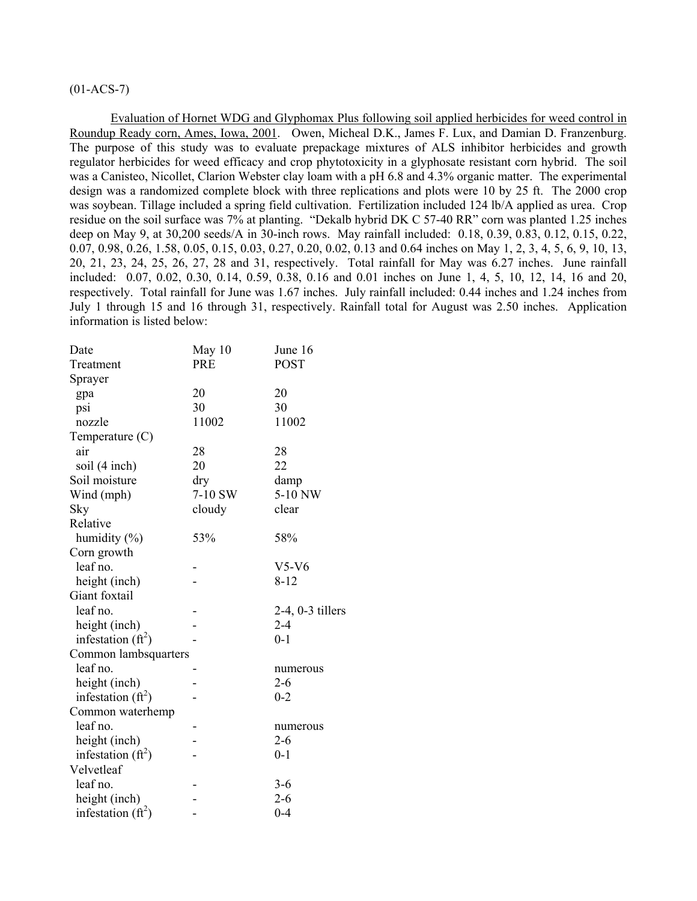# $(01-ACS-7)$

Evaluation of Hornet WDG and Glyphomax Plus following soil applied herbicides for weed control in Roundup Ready corn, Ames, Iowa, 2001. Owen, Micheal D.K., James F. Lux, and Damian D. Franzenburg. The purpose of this study was to evaluate prepackage mixtures of ALS inhibitor herbicides and growth regulator herbicides for weed efficacy and crop phytotoxicity in a glyphosate resistant corn hybrid. The soil was a Canisteo, Nicollet, Clarion Webster clay loam with a pH 6.8 and 4.3% organic matter. The experimental design was a randomized complete block with three replications and plots were 10 by 25 ft. The 2000 crop was soybean. Tillage included a spring field cultivation. Fertilization included 124 lb/A applied as urea. Crop residue on the soil surface was 7% at planting. "Dekalb hybrid DK C 57-40 RR" corn was planted 1.25 inches deep on May 9, at 30,200 seeds/A in 30-inch rows. May rainfall included: 0.18, 0.39, 0.83, 0.12, 0.15, 0.22, 0.07, 0.98, 0.26, 1.58, 0.05, 0.15, 0.03, 0.27, 0.20, 0.02, 0.13 and 0.64 inches on May 1, 2, 3, 4, 5, 6, 9, 10, 13, 20, 21, 23, 24, 25, 26, 27, 28 and 31, respectively. Total rainfall for May was 6.27 inches. June rainfall included: 0.07, 0.02, 0.30, 0.14, 0.59, 0.38, 0.16 and 0.01 inches on June 1, 4, 5, 10, 12, 14, 16 and 20, respectively. Total rainfall for June was 1.67 inches. July rainfall included: 0.44 inches and 1.24 inches from July 1 through 15 and 16 through 31, respectively. Rainfall total for August was 2.50 inches. Application information is listed below:

| Date                  | May 10     | June 16               |
|-----------------------|------------|-----------------------|
| Treatment             | <b>PRE</b> | <b>POST</b>           |
| Sprayer               |            |                       |
| gpa                   | 20         | 20                    |
| psi                   | 30         | 30                    |
| nozzle                | 11002      | 11002                 |
| Temperature $(C)$     |            |                       |
| air                   | 28         | 28                    |
| soil (4 inch)         | 20         | 22                    |
| Soil moisture         | dry        | damp                  |
| Wind (mph)            | 7-10 SW    | 5-10 NW               |
| Sky                   | cloudy     | clear                 |
| Relative              |            |                       |
| humidity (%)          | 53%        | 58%                   |
| Corn growth           |            |                       |
| leaf no.              |            | $V5-V6$               |
| height (inch)         |            | 8-12                  |
| Giant foxtail         |            |                       |
| leaf no.              |            | $2-4$ , $0-3$ tillers |
| height (inch)         |            | $2 - 4$               |
| infestation $(f_t^2)$ |            | $0 - 1$               |
| Common lambsquarters  |            |                       |
| leaf no.              |            | numerous              |
| height (inch)         |            | $2 - 6$               |
| infestation $(ft^2)$  |            | $0 - 2$               |
| Common waterhemp      |            |                       |
| leaf no.              |            | numerous              |
| height (inch)         |            | $2 - 6$               |
| infestation $(ft^2)$  |            | $0 - 1$               |
| Velvetleaf            |            |                       |
| leaf no.              |            | $3 - 6$               |
| height (inch)         |            | $2 - 6$               |
| infestation $(ft^2)$  |            | $0 - 4$               |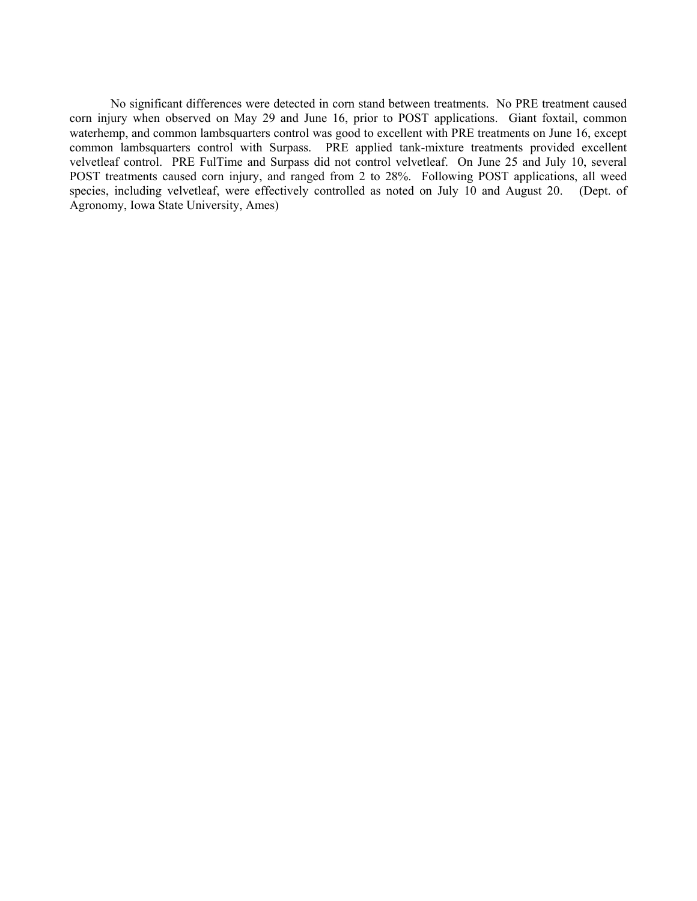No significant differences were detected in corn stand between treatments. No PRE treatment caused corn injury when observed on May 29 and June 16, prior to POST applications. Giant foxtail, common waterhemp, and common lambsquarters control was good to excellent with PRE treatments on June 16, except common lambsquarters control with Surpass. PRE applied tank-mixture treatments provided excellent velvetleaf control. PRE FulTime and Surpass did not control velvetleaf. On June 25 and July 10, several POST treatments caused corn injury, and ranged from 2 to 28%. Following POST applications, all weed species, including velvetleaf, were effectively controlled as noted on July 10 and August 20. (Dept. of Agronomy, Iowa State University, Ames)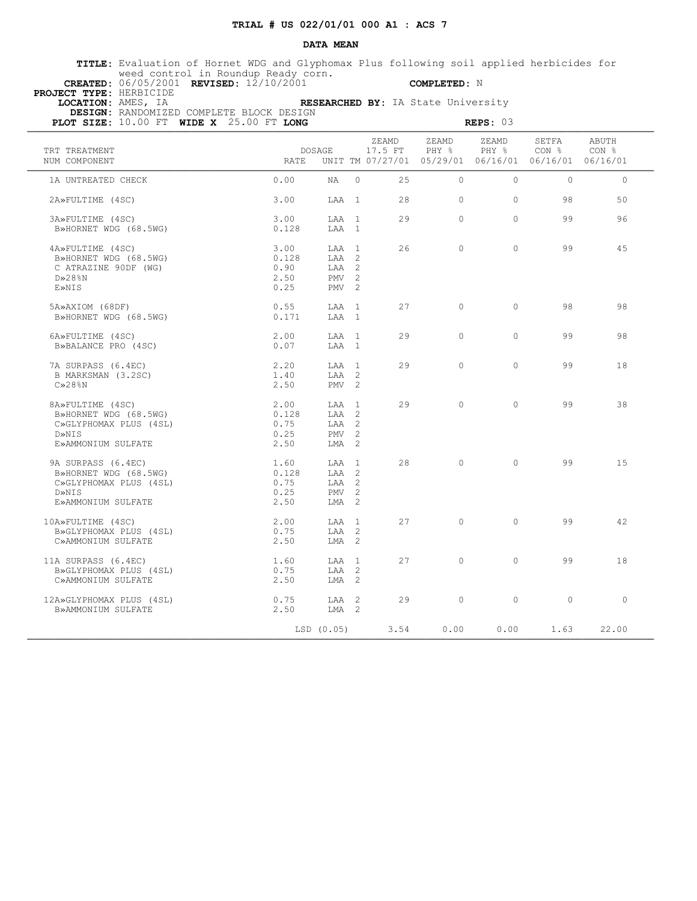### **DATA MEAN**

 **TITLE:** Evaluation of Hornet WDG and Glyphomax Plus following soil applied herbicides for weed control in Roundup Ready corn.  **CREATED:** 06/05/2001 **REVISED:** 12/10/2001 **COMPLETED:** N

 **PROJECT TYPE:** HERBICIDE

 **LOCATION:** AMES, IA **RESEARCHED BY:** IA State University  **DESIGN:** RANDOMIZED COMPLETE BLOCK DESIGN

| PLOT SIZE: $10.00$ FT WIDE X $25.00$ FT LONG                                                         |                                       |                                                                 |          |                  |                | REPS: 03                                                               |                           |                |
|------------------------------------------------------------------------------------------------------|---------------------------------------|-----------------------------------------------------------------|----------|------------------|----------------|------------------------------------------------------------------------|---------------------------|----------------|
| TRT TREATMENT<br>NUM COMPONENT                                                                       |                                       | DOSAGE<br><b>RATE</b>                                           |          | ZEAMD<br>17.5 FT | ZEAMD<br>PHY 응 | ZEAMD<br>PHY %<br>UNIT TM 07/27/01 05/29/01 06/16/01 06/16/01 06/16/01 | SETFA<br>CON <sub>8</sub> | ABUTH<br>CON % |
| 1A UNTREATED CHECK                                                                                   | 0.00                                  | NA                                                              | $\Omega$ | 25               | $\Omega$       | $\Omega$                                                               | $\Omega$                  | $\circ$        |
| 2A»FULTIME (4SC)                                                                                     | 3.00                                  | LAA 1                                                           |          | 28               | $\Omega$       | $\Omega$                                                               | 98                        | 50             |
| 3A»FULTIME (4SC)<br>B»HORNET WDG (68.5WG)                                                            | 3.00<br>0.128                         | LAA 1<br>LAA 1                                                  |          | 2.9              | $\Omega$       | $\Omega$                                                               | 99                        | 96             |
| 4A»FULTIME (4SC)<br>B»HORNET WDG (68.5WG)<br>C ATRAZINE 90DF (WG)<br>$D \gg 28$ %N<br>E»NIS          | 3.00<br>0.128<br>0.90<br>2.50<br>0.25 | LAA 1<br>LAA 2<br>LAA 2<br>PMV <sub>2</sub><br>PMV <sub>2</sub> |          | 26               | $\bigcap$      | $\Omega$                                                               | 99                        | 45             |
| 5A»AXIOM (68DF)<br>B»HORNET WDG (68.5WG)                                                             | 0.55<br>0.171                         | LAA 1<br>LAA 1                                                  |          | 27               | $\Omega$       | $\Omega$                                                               | 98                        | 98             |
| 6A»FULTIME (4SC)<br>B»BALANCE PRO (4SC)                                                              | 2.00<br>0.07                          | LAA 1<br>LAA 1                                                  |          | 29               | $\Omega$       | $\Omega$                                                               | 99                        | 98             |
| 7A SURPASS (6.4EC)<br>B MARKSMAN (3.2SC)<br>$C\gg28\$ N                                              | 2.20<br>1.40<br>2.50                  | LAA 1<br>$T.AA$ 2<br>$PMV$ 2                                    |          | 29               | $\Omega$       | $\Omega$                                                               | 99                        | 18             |
| 8A»FULTIME (4SC)<br>B»HORNET WDG (68.5WG)<br>C»GLYPHOMAX PLUS (4SL)<br>D»NIS<br>E»AMMONIUM SULFATE   | 2.00<br>0.128<br>0.75<br>0.25<br>2.50 | LAA 1<br>LAA 2<br>LAA 2<br>$PMV$ 2<br>$LMA$ 2                   |          | 29               | $\cap$         | $\cap$                                                                 | 99                        | 38             |
| 9A SURPASS (6.4EC)<br>B»HORNET WDG (68.5WG)<br>C»GLYPHOMAX PLUS (4SL)<br>D»NIS<br>E»AMMONIUM SULFATE | 1.60<br>0.128<br>0.75<br>0.25<br>2.50 | LAA 1<br>LAA 2<br>LAA 2<br>$PMV$ 2<br>LMA <sub>2</sub>          |          | 28               | $\Omega$       | $\Omega$                                                               | 99                        | 15             |
| 10A»FULTIME (4SC)<br>B»GLYPHOMAX PLUS (4SL)<br>C»AMMONIUM SULFATE                                    | 2.00<br>0.75<br>2.50                  | LAA 1<br>$T.AA$ 2<br>$LMA$ 2                                    |          | 27               | $\Omega$       | $\Omega$                                                               | 99                        | 42             |
| 11A SURPASS (6.4EC)<br>B»GLYPHOMAX PLUS (4SL)<br>C»AMMONIUM SULFATE                                  | 1.60<br>0.75<br>2.50                  | LAA 1<br>LAA 2<br>LMA <sub>2</sub>                              |          | 27               | $\Omega$       | $\Omega$                                                               | 99                        | 18             |
| 12A»GLYPHOMAX PLUS (4SL)<br>B»AMMONIUM SULFATE                                                       | 0.75<br>2.50                          | LAA 2<br>$LMA$ 2                                                |          | 29               | $\Omega$       | $\Omega$                                                               | $\Omega$                  | $\Omega$       |
|                                                                                                      |                                       | LSD (0.05)                                                      |          | 3.54             | 0.00           | 0.00                                                                   | 1.63                      | 22.00          |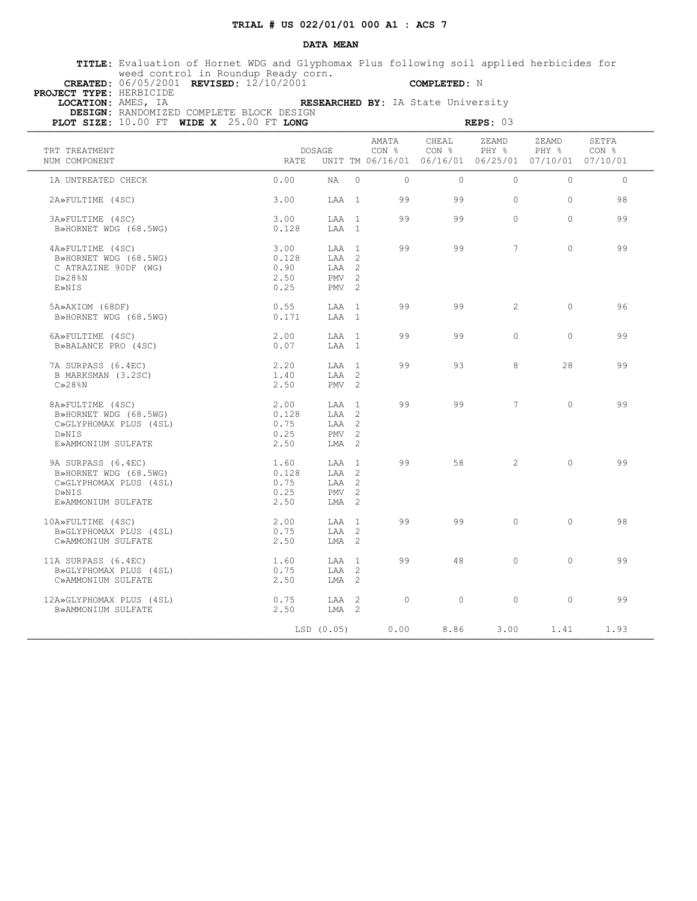### **DATA MEAN**

 **TITLE:** Evaluation of Hornet WDG and Glyphomax Plus following soil applied herbicides for weed control in Roundup Ready corn.  **CREATED:** 06/05/2001 **REVISED:** 12/10/2001 **COMPLETED:** N

 **PROJECT TYPE:** HERBICIDE

 **LOCATION:** AMES, IA **RESEARCHED BY:** IA State University

 **DESIGN:** RANDOMIZED COMPLETE BLOCK DESIGN

| PLOT SIZE: $10.00$ FT WIDE X $25.00$ FT LONG                                                         |                                       |                                                          |                |                           | REPS: 03                                                               |                |                |
|------------------------------------------------------------------------------------------------------|---------------------------------------|----------------------------------------------------------|----------------|---------------------------|------------------------------------------------------------------------|----------------|----------------|
| TRT TREATMENT<br>NUM COMPONENT                                                                       | <b>DOSAGE</b><br><b>RATE</b>          |                                                          | AMATA<br>CON % | CHEAL<br>CON <sub>8</sub> | ZEAMD<br>PHY 응<br>UNIT TM 06/16/01 06/16/01 06/25/01 07/10/01 07/10/01 | ZEAMD<br>PHY % | SETFA<br>CON % |
| 1A UNTREATED CHECK                                                                                   | 0.00<br>NA                            | $\Omega$                                                 | $\Omega$       | $\Omega$                  | $\Omega$                                                               | $\Omega$       | $\circ$        |
| 2A»FULTIME (4SC)                                                                                     | 3.00                                  | LAA 1                                                    | 99             | 99                        | $\Omega$                                                               | $\Omega$       | 98             |
| 3A»FULTIME (4SC)<br>B»HORNET WDG (68.5WG)                                                            | 3.00<br>0.128                         | LAA 1<br>LAA 1                                           | 99             | 99                        | $\Omega$                                                               | $\Omega$       | 99             |
| 4A»FULTIME (4SC)<br>B»HORNET WDG (68.5WG)<br>C ATRAZINE 90DF (WG)<br>$D \gg 28$ %N<br>E»NIS          | 3.00<br>0.128<br>0.90<br>2.50<br>0.25 | LAA 1<br>LAA 2<br>LAA 2<br>$PMV$ 2<br>PMV <sub>2</sub>   | 99             | 99                        | $7\phantom{.0}$                                                        | $\Omega$       | 99             |
| 5A»AXIOM (68DF)<br>B»HORNET WDG (68.5WG)                                                             | 0.55<br>0.171                         | LAA 1<br>LAA 1                                           | 99             | 99                        | 2                                                                      | $\Omega$       | 96             |
| 6A»FULTIME (4SC)<br>B»BALANCE PRO (4SC)                                                              | 2.00<br>0.07                          | LAA 1<br>LAA 1                                           | 99             | 99                        | $\Omega$                                                               | $\Omega$       | 99             |
| 7A SURPASS (6.4EC)<br>B MARKSMAN (3.2SC)<br>$C\gg28\$ N                                              | 2.20<br>1.40<br>2.50                  | LAA 1<br>$T.AA$ 2<br>PMV <sub>2</sub>                    | 99             | 93                        | 8                                                                      | 28             | 99             |
| 8A»FULTIME (4SC)<br>B»HORNET WDG (68.5WG)<br>C»GLYPHOMAX PLUS (4SL)<br>D»NIS<br>E»AMMONIUM SULFATE   | 2.00<br>0.128<br>0.75<br>0.25<br>2.50 | LAA 1<br>LAA <sub>2</sub><br>LAA 2<br>$PMV$ 2<br>$LMA$ 2 | 99             | 99                        | $7^{\circ}$                                                            | $\Omega$       | 99             |
| 9A SURPASS (6.4EC)<br>B»HORNET WDG (68.5WG)<br>C»GLYPHOMAX PLUS (4SL)<br>D»NIS<br>E»AMMONIUM SULFATE | 1.60<br>0.128<br>0.75<br>0.25<br>2.50 | LAA 1<br>LAA 2<br>LAA 2<br>PMV <sub>2</sub><br>LMA 2     | 99             | 58                        | $\overline{2}$                                                         | $\Omega$       | 99             |
| 10A»FULTIME (4SC)<br>B»GLYPHOMAX PLUS (4SL)<br>C»AMMONIUM SULFATE                                    | 2.00<br>0.75<br>2.50                  | LAA 1<br>$T.AA$ 2<br>$LMA$ 2                             | 99             | 99                        | $\Omega$                                                               | $\Omega$       | 98             |
| 11A SURPASS (6.4EC)<br>B»GLYPHOMAX PLUS (4SL)<br>C»AMMONIUM SULFATE                                  | 1.60<br>0.75<br>2.50                  | LAA 1<br>LAA 2<br>LMA <sub>2</sub>                       | 99             | 48                        | $\Omega$                                                               | $\Omega$       | 99             |
| 12A»GLYPHOMAX PLUS (4SL)<br>B»AMMONIUM SULFATE                                                       | 0.75<br>2.50                          | LAA <sub>2</sub><br>$LMA$ 2                              | $\Omega$       | $\Omega$                  | $\Omega$                                                               | $\Omega$       | 99             |
|                                                                                                      | LSD (0.05)                            |                                                          | 0.00           | 8.86                      | 3.00                                                                   | 1.41           | 1.93           |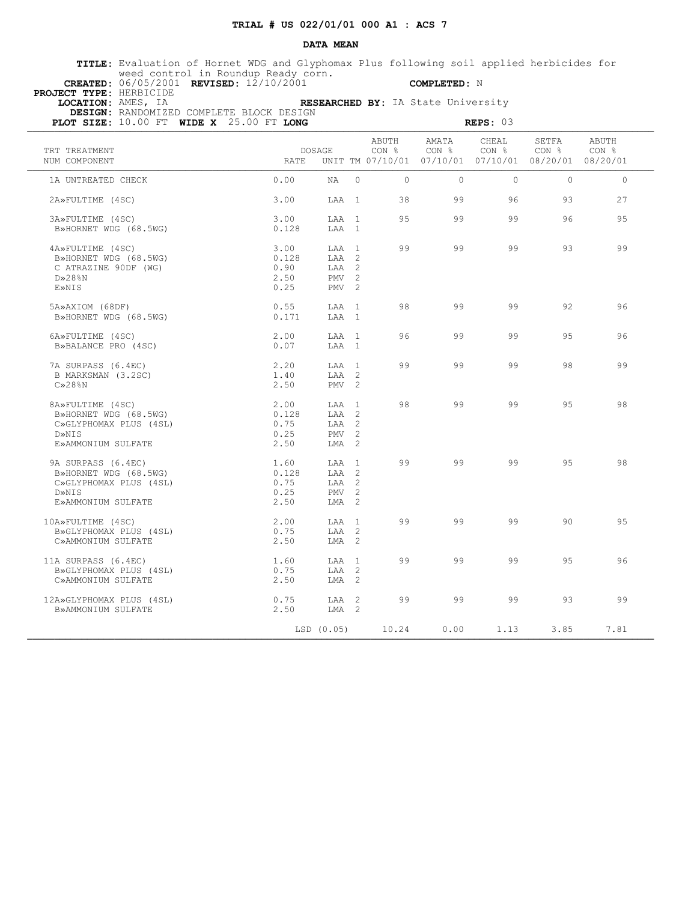### **DATA MEAN**

 **TITLE:** Evaluation of Hornet WDG and Glyphomax Plus following soil applied herbicides for weed control in Roundup Ready corn.  **CREATED:** 06/05/2001 **REVISED:** 12/10/2001 **COMPLETED:** N

 **PROJECT TYPE:** HERBICIDE

 **LOCATION:** AMES, IA **RESEARCHED BY:** IA State University

| PLOT SIZE: $10.00$ FT WIDE X $25.00$ FT LONG | DESIGN: RANDOMIZED COMPLETE BLOCK DESIGN<br>REPS: $03$ |                  |          |                           |                |                           |                                                                                       |                    |
|----------------------------------------------|--------------------------------------------------------|------------------|----------|---------------------------|----------------|---------------------------|---------------------------------------------------------------------------------------|--------------------|
| TRT TREATMENT<br>NUM COMPONENT               | RATE                                                   | DOSAGE           |          | ABUTH<br>CON <sub>8</sub> | AMATA<br>CON % | CHEAL<br>CON <sub>8</sub> | SETFA<br>CON <sub>8</sub><br>UNIT TM 07/10/01  07/10/01  07/10/01  08/20/01  08/20/01 | ABUTH<br>$CON$ $%$ |
| 1A UNTREATED CHECK                           | 0.00                                                   | NA               | $\Omega$ | $\cap$                    | $\bigcap$      | $\Omega$                  | $\Omega$                                                                              | $\bigcap$          |
| 2A»FULTIME (4SC)                             | 3.00                                                   | LAA 1            |          | 38                        | 99             | 96                        | 93                                                                                    | 27                 |
| 3A»FULTIME (4SC)                             | 3.00                                                   | LAA 1            |          | 95                        | 99             | 99                        | 96                                                                                    | 95                 |
| B»HORNET WDG (68.5WG)                        | 0.128                                                  | LAA 1            |          |                           |                |                           |                                                                                       |                    |
| 4A»FULTIME (4SC)                             | 3.00                                                   | LAA 1            |          | 99                        | 99             | 99                        | 93                                                                                    | 99                 |
| B»HORNET WDG (68.5WG)                        | 0.128                                                  | LAA 2            |          |                           |                |                           |                                                                                       |                    |
| C ATRAZINE 90DF (WG)                         | 0.90                                                   | LAA 2            |          |                           |                |                           |                                                                                       |                    |
| $D \gg 28$ %N                                | 2.50                                                   | PMV <sub>2</sub> |          |                           |                |                           |                                                                                       |                    |
| E»NIS                                        | 0.25                                                   | PMV <sub>2</sub> |          |                           |                |                           |                                                                                       |                    |
| 5A»AXIOM (68DF)                              | 0.55                                                   | LAA 1            |          | 98                        | 99             | 99                        | 92                                                                                    | 96                 |
| B»HORNET WDG (68.5WG)                        | 0.171                                                  | LAA 1            |          |                           |                |                           |                                                                                       |                    |
| 6A»FULTIME (4SC)                             | 2.00                                                   | LAA 1            |          | 96                        | 99             | 99                        | 9.5                                                                                   | 96                 |
| B»BALANCE PRO (4SC)                          | 0.07                                                   | LAA 1            |          |                           |                |                           |                                                                                       |                    |
| 7A SURPASS (6.4EC)                           | 2.20                                                   | T.AA 1           |          | 99                        | 99             | 99                        | 98                                                                                    | 99                 |
| B MARKSMAN (3.2SC)                           | 1.40                                                   | LAA 2            |          |                           |                |                           |                                                                                       |                    |
| $C\gg 28$ <sup>8</sup> N                     | 2.50                                                   | PMV <sub>2</sub> |          |                           |                |                           |                                                                                       |                    |
| 8A»FULTIME (4SC)                             | 2.00                                                   | $T.A.A$ 1        |          | 98                        | 99             | 99                        | 9.5                                                                                   | 98                 |
| B»HORNET WDG (68.5WG)                        | 0.128                                                  | LAA 2            |          |                           |                |                           |                                                                                       |                    |
| C»GLYPHOMAX PLUS (4SL)                       | 0.75                                                   | $TAA$ 2          |          |                           |                |                           |                                                                                       |                    |
| D»NTS                                        | 0.25                                                   | $PMV$ 2          |          |                           |                |                           |                                                                                       |                    |
| E»AMMONIUM SULFATE                           | 2.50                                                   | LMA 2            |          |                           |                |                           |                                                                                       |                    |
| 9A SURPASS (6.4EC)                           | 1.60                                                   | LAA 1            |          | 99                        | 99             | 99                        | 95                                                                                    | 98                 |
| B»HORNET WDG (68.5WG)                        | 0.128                                                  | LAA 2            |          |                           |                |                           |                                                                                       |                    |
| C»GLYPHOMAX PLUS (4SL)                       | 0.75                                                   | LAA 2            |          |                           |                |                           |                                                                                       |                    |
| D»NIS                                        | 0.25                                                   | $PMV$ 2          |          |                           |                |                           |                                                                                       |                    |
| E»AMMONIUM SULFATE                           | 2.50                                                   | LMA 2            |          |                           |                |                           |                                                                                       |                    |
| 10A»FULTIME (4SC)                            | 2.00                                                   | LAA 1            |          | 99                        | 99             | 99                        | 90                                                                                    | 95                 |
| B»GLYPHOMAX PLUS (4SL)                       | 0.75                                                   | LAA 2            |          |                           |                |                           |                                                                                       |                    |
| C»AMMONIUM SULFATE                           | 2.50                                                   | $LMA$ 2          |          |                           |                |                           |                                                                                       |                    |
| 11A SURPASS (6.4EC)                          | 1.60                                                   | LAA 1            |          | 99                        | 99             | 99                        | 95                                                                                    | 96                 |
| B»GLYPHOMAX PLUS (4SL)                       | 0.75                                                   | LAA 2            |          |                           |                |                           |                                                                                       |                    |
| C»AMMONIUM SULFATE                           | 2.50                                                   | $LMA$ 2          |          |                           |                |                           |                                                                                       |                    |
| 12A»GLYPHOMAX PLUS (4SL)                     | 0.75                                                   | LAA 2            |          | 99                        | 99             | 99                        | 93                                                                                    | 99                 |
| B»AMMONIUM SULFATE                           | 2.50                                                   | LMA 2            |          |                           |                |                           |                                                                                       |                    |
|                                              |                                                        | LSD (0.05)       |          | 10.24                     | 0.00           | 1.13                      | 3.85                                                                                  | 7.81               |